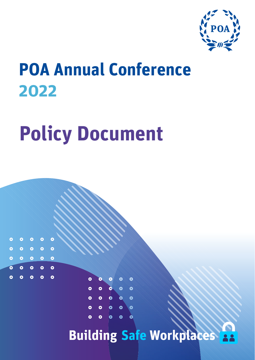

# **POA Annual Conference 2022**

# **Policy Document**

 $\bullet$ 

 $\bullet$ 

 $\circ$   $\circ$   $\circ$   $\circ$ 

 $\circ$   $\circ$   $\circ$   $\circ$ 

 $\circ$   $\circ$   $\circ$   $\circ$  $\circ$   $\circ$   $\circ$ 

 $\ddot{\bullet}$ 

 $\bullet$ 



**Building Safe Workplaces 28**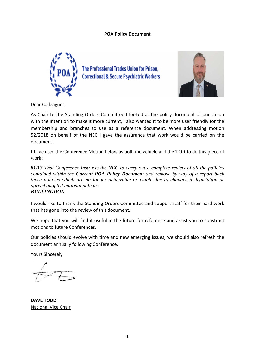# **POA Policy Document**



The Professional Trades Union for Prison, **Correctional & Secure Psychiatric Workers** 



Dear Colleagues,

As Chair to the Standing Orders Committee I looked at the policy document of our Union with the intention to make it more current, I also wanted it to be more user friendly for the membership and branches to use as a reference document. When addressing motion 52/2018 on behalf of the NEC I gave the assurance that work would be carried on the document.

I have used the Conference Motion below as both the vehicle and the TOR to do this piece of work;

those policies which are no longer achievable or viable due to changes in legislation or *81/13 That Conference instructs the NEC to carry out a complete review of all the policies contained within the Current POA Policy Document and remove by way of a report back agreed adopted national policies.*

# *BULLINGDON*

I would like to thank the Standing Orders Committee and support staff for their hard work that has gone into the review of this document.

We hope that you will find it useful in the future for reference and assist you to construct motions to future Conferences.

Our policies should evolve with time and new emerging issues, we should also refresh the document annually following Conference.

Yours Sincerely

**DAVE TODD** National Vice Chair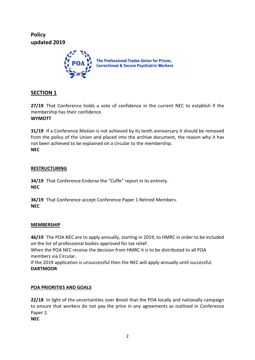**Policy updated 2019**



# **SECTION 1**

**27/19** That Conference holds a vote of confidence in the current NEC to establish if the membership has their confidence. **WYMOTT**

**31/19** If a Conference Motion is not achieved by its tenth anniversary it should be removed from the policy of the Union and placed into the archive document, the reason why it has not been achieved to be explained on a circular to the membership. **NEC**

# **RESTRUCTURING**

**34/19** That Conference Endorse the "Cuffe" report in its entirety. **NEC**

**36/19** That Conference accept Conference Paper 1 Retired Members. **NEC**

# **MEMBERSHIP**

**46/19** The POA NEC are to apply annually, starting in 2019, to HMRC in order to be included on the list of professional bodies approved for tax relief.

When the POA NEC receive the decision from HMRC it is to be distributed to all POA members via Circular.

If the 2019 application is unsuccessful then the NEC will apply annually until successful. **DARTMOOR**

# **POA PRIORITIES AND GOALS**

**22/18** In light of the uncertainties over Brexit that the POA locally and nationally campaign to ensure that workers do not pay the price in any agreements as outlined in Conference Paper 2.

**NEC**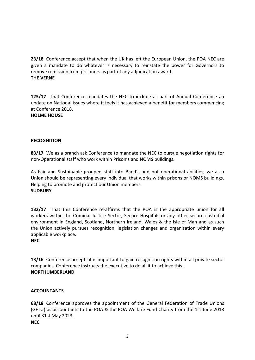**23/18** Conference accept that when the UK has left the European Union, the POA NEC are given a mandate to do whatever is necessary to reinstate the power for Governors to remove remission from prisoners as part of any adjudication award. **THE VERNE**

**125/17** That Conference mandates the NEC to include as part of Annual Conference an update on National issues where it feels it has achieved a benefit for members commencing at Conference 2018.

# **HOLME HOUSE**

# **RECOGNITION**

**83/17** We as a branch ask Conference to mandate the NEC to pursue negotiation rights for non-Operational staff who work within Prison's and NOMS buildings.

Union should be representing every individual that works within prisons or NOMS buildings. As Fair and Sustainable grouped staff into Band's and not operational abilities, we as a Helping to promote and protect our Union members. **SUDBURY**

**132/17** That this Conference re-affirms that the POA is the appropriate union for all workers within the Criminal Justice Sector, Secure Hospitals or any other secure custodial environment in England, Scotland, Northern Ireland, Wales & the Isle of Man and as such the Union actively pursues recognition, legislation changes and organisation within every applicable workplace.

# **NEC**

**13/16** Conference accepts it is important to gain recognition rights within all private sector companies. Conference instructs the executive to do all it to achieve this. **NORTHUMBERLAND**

# **ACCOUNTANTS**

**68/18** Conference approves the appointment of the General Federation of Trade Unions (GFTU) as accountants to the POA & the POA Welfare Fund Charity from the 1st June 2018 until 31st May 2023.

**NEC**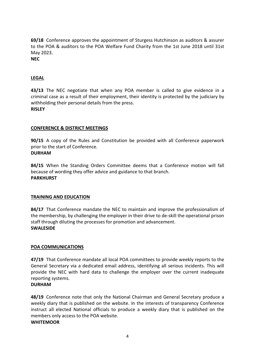**69/18** Conference approves the appointment of Sturgess Hutchinson as auditors & assurer to the POA & auditors to the POA Welfare Fund Charity from the 1st June 2018 until 31st May 2023.

**NEC**

# **LEGAL**

**43/13** The NEC negotiate that when any POA member is called to give evidence in a criminal case as a result of their employment, their identity is protected by the judiciary by withholding their personal details from the press. **RISLEY** 

# **CONFERENCE & DISTRICT MEETINGS**

**90/15** A copy of the Rules and Constitution be provided with all Conference paperwork prior to the start of Conference.

# **DURHAM**

**84/15** When the Standing Orders Committee deems that a Conference motion will fall because of wording they offer advice and guidance to that branch. **PARKHURST**

# **TRAINING AND EDUCATION**

**84/17** That Conference mandate the NEC to maintain and improve the professionalism of the membership, by challenging the employer in their drive to de-skill the operational prison staff through diluting the processes for promotion and advancement. **SWALESIDE**

# **POA COMMUNICATIONS**

**47/19** That Conference mandate all local POA committees to provide weekly reports to the General Secretary via a dedicated email address, identifying all serious incidents. This will provide the NEC with hard data to challenge the employer over the current inadequate reporting systems.

# **DURHAM**

**48/19** Conference note that only the National Chairman and General Secretary produce a weekly diary that is published on the website. In the interests of transparency Conference instruct all elected National officials to produce a weekly diary that is published on the members only access to the POA website.

# **WHITEMOOR**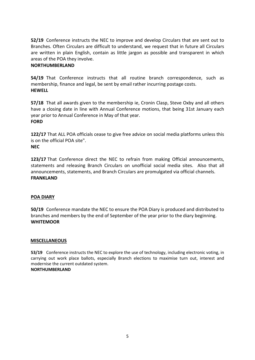**52/19** Conference instructs the NEC to improve and develop Circulars that are sent out to Branches. Often Circulars are difficult to understand, we request that in future all Circulars are written in plain English, contain as little jargon as possible and transparent in which areas of the POA they involve.

# **NORTHUMBERLAND**

**54/19** That Conference instructs that all routine branch correspondence, such as membership, finance and legal, be sent by email rather incurring postage costs. **HEWELL**

**57/18** That all awards given to the membership ie, Cronin Clasp, Steve Oxby and all others have a closing date in line with Annual Conference motions, that being 31st January each year prior to Annual Conference in May of that year. **FORD**

**122/17** That ALL POA officials cease to give free advice on social media platforms unless this is on the official POA site".

# **NEC**

**123/17** That Conference direct the NEC to refrain from making Official announcements, statements and releasing Branch Circulars on unofficial social media sites. Also that all announcements, statements, and Branch Circulars are promulgated via official channels. **FRANKLAND**

# **POA DIARY**

**50/19** Conference mandate the NEC to ensure the POA Diary is produced and distributed to branches and members by the end of September of the year prior to the diary beginning. **WHITEMOOR**

# **MISCELLANEOUS**

**53/19** Conference instructs the NEC to explore the use of technology, including electronic voting, in carrying out work place ballots, especially Branch elections to maximise turn out, interest and modernise the current outdated system. **NORTHUMBERLAND**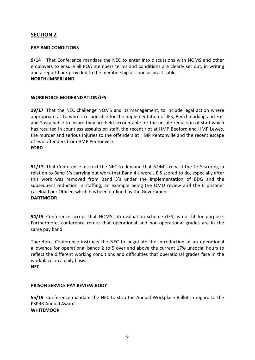# **PAY AND CONDITIONS**

**9/14** That Conference mandate the NEC to enter into discussions with NOMS and other employers to ensure all POA members terms and conditions are clearly set out, in writing and a report back provided to the membership as soon as practicable. **NORTHUMBERLAND** 

# **WORKFORCE MODERNISATION/JES**

**19/17** That the NEC challenge NOMS and its management, to include legal action where appropriate as to who is responsible for the implementation of JES, Benchmarking and Fair and Sustainable to insure they are held accountable for the unsafe reduction of staff which has resulted in countless assaults on staff, the recent riot at HMP Bedford and HMP Lewes, the murder and serious injuries to the offenders at HMP Pentonville and the recent escape of two offenders from HMP Pentonville. **FORD**

this work was removed from Band 3's under the implementation of BDG and the **51/17** That Conference instruct the NEC to demand that NOM's re-visit the J.E.S scoring in relation to Band 3's carrying out work that Band 4's were J.E.S scored to do, especially after subsequent reduction in staffing, an example being the OMU review and the 6 prisoner caseload per Officer, which has been outlined by the Government. **DARTMOOR**

**94/15** Conference accept that NOMS job evaluation scheme (JES) is not fit for purpose. Furthermore, conference refute that operational and non-operational grades are in the same pay band.

Therefore, Conference instructs the NEC to negotiate the introduction of an operational allowance for operational bands 2 to 5 over and above the current 17% unsocial hours to reflect the different working conditions and difficulties that operational grades face in the workplace on a daily basis. **NEC**

# **PRISON SERVICE PAY REVIEW BODY**

**55/19** Conference mandate the NEC to stop the Annual Workplace Ballot in regard to the PSPRB Annual Award. **WHITEMOOR**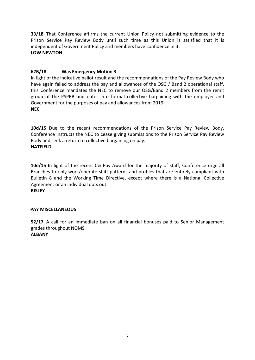**33/18** That Conference affirms the current Union Policy not submitting evidence to the Prison Service Pay Review Body until such time as this Union is satisfied that it is independent of Government Policy and members have confidence in it. **LOW NEWTON**

# **62B/18 Was Emergency Motion 3**

In light of the indicative ballot result and the recommendations of the Pay Review Body who have again failed to address the pay and allowances of the OSG / Band 2 operational staff, this Conference mandates the NEC to remove our OSG/Band 2 members from the remit group of the PSPRB and enter into formal collective bargaining with the employer and Government for the purposes of pay and allowances from 2019. **NEC**

**10d/15** Due to the recent recommendations of the Prison Service Pay Review Body, Conference instructs the NEC to cease giving submissions to the Prison Service Pay Review Body and seek a return to collective bargaining on pay. **HATFIELD**

Bulletin 8 and the Working Time Directive, except where there is a National Collective **10e/15** In light of the recent 0% Pay Award for the majority of staff, Conference urge all Branches to only work/operate shift patterns and profiles that are entirely compliant with Agreement or an individual opts out.

# **RISLEY**

# **PAY MISCELLANEOUS**

**52/17** A call for an immediate ban on all financial bonuses paid to Senior Management grades throughout NOMS.

# **ALBANY**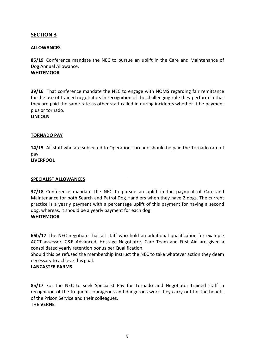# **ALLOWANCES**

**85/19** Conference mandate the NEC to pursue an uplift in the Care and Maintenance of Dog Annual Allowance. **WHITEMOOR**

**39/16** That conference mandate the NEC to engage with NOMS regarding fair remittance for the use of trained negotiators in recognition of the challenging role they perform in that they are paid the same rate as other staff called in during incidents whether it be payment plus or tornado.

**LINCOLN**

#### **TORNADO PAY**

**14/15** All staff who are subjected to Operation Tornado should be paid the Tornado rate of pay. **LIVERPOOL**

#### **SPECIALIST ALLOWANCES**

**37/18** Conference mandate the NEC to pursue an uplift in the payment of Care and Maintenance for both Search and Patrol Dog Handlers when they have 2 dogs. The current practice is a yearly payment with a percentage uplift of this payment for having a second dog, whereas, it should be a yearly payment for each dog. **WHITEMOOR**

**66b/17** The NEC negotiate that all staff who hold an additional qualification for example ACCT assessor, C&R Advanced, Hostage Negotiator, Care Team and First Aid are given a consolidated yearly retention bonus per Qualification.

Should this be refused the membership instruct the NEC to take whatever action they deem necessary to achieve this goal.

#### **LANCASTER FARMS**

**85/17** For the NEC to seek Specialist Pay for Tornado and Negotiator trained staff in recognition of the frequent courageous and dangerous work they carry out for the benefit of the Prison Service and their colleagues.

#### **THE VERNE**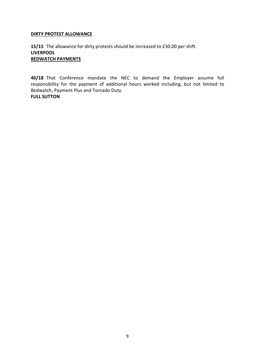# **DIRTY PROTEST ALLOWANCE**

**15/15** The allowance for dirty protests should be increased to £30.00 per shift. **LIVERPOOL BEDWATCH PAYMENTS**

**40/18** That Conference mandate the NEC to demand the Employer assume full responsibility for the payment of additional hours worked including, but not limited to Bedwatch, Payment Plus and Tornado Duty. **FULL SUTTON**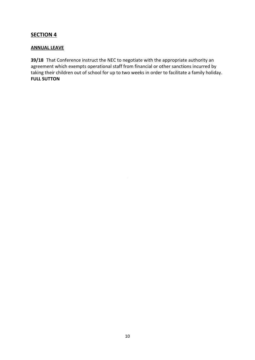# **ANNUAL LEAVE**

**39/18** That Conference instruct the NEC to negotiate with the appropriate authority an agreement which exempts operational staff from financial or other sanctions incurred by taking their children out of school for up to two weeks in order to facilitate a family holiday. **FULL SUTTON**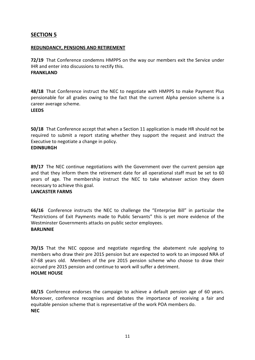#### **REDUNDANCY, PENSIONS AND RETIREMENT**

**72/19** That Conference condemns HMPPS on the way our members exit the Service under IHR and enter into discussions to rectify this. **FRANKLAND** 

**48/18** That Conference instruct the NEC to negotiate with HMPPS to make Payment Plus pensionable for all grades owing to the fact that the current Alpha pension scheme is a career average scheme.

**LEEDS**

**50/18** That Conference accept that when a Section 11 application is made HR should not be required to submit a report stating whether they support the request and instruct the Executive to negotiate a change in policy. **EDINBURGH**

years of age. The membership instruct the NEC to take whatever action they deem **89/17** The NEC continue negotiations with the Government over the current pension age and that they inform them the retirement date for all operational staff must be set to 60 necessary to achieve this goal.

# **LANCASTER FARMS**

**66/16** Conference instructs the NEC to challenge the "Enterprise Bill" in particular the "Restrictions of Exit Payments made to Public Servants" this is yet more evidence of the Westminster Governments attacks on public sector employees. **BARLINNIE**

**70/15** That the NEC oppose and negotiate regarding the abatement rule applying to members who draw their pre 2015 pension but are expected to work to an imposed NRA of 67-68 years old. Members of the pre 2015 pension scheme who choose to draw their accrued pre 2015 pension and continue to work will suffer a detriment. **HOLME HOUSE**

**68/15** Conference endorses the campaign to achieve a default pension age of 60 years. Moreover, conference recognises and debates the importance of receiving a fair and equitable pension scheme that is representative of the work POA members do. **NEC**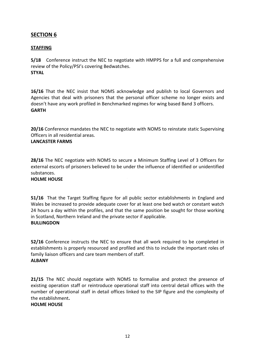# **STAFFING**

**5/18** Conference instruct the NEC to negotiate with HMPPS for a full and comprehensive review of the Policy/PSI's covering Bedwatches. **STYAL**

**16/16** That the NEC insist that NOMS acknowledge and publish to local Governors and Agencies that deal with prisoners that the personal officer scheme no longer exists and doesn't have any work profiled in Benchmarked regimes for wing based Band 3 officers. **GARTH**

**20/16** Conference mandates the NEC to negotiate with NOMS to reinstate static Supervising Officers in all residential areas.

# **LANCASTER FARMS**

**28/16** The NEC negotiate with NOMS to secure a Minimum Staffing Level of 3 Officers for external escorts of prisoners believed to be under the influence of identified or unidentified substances.

#### **HOLME HOUSE**

**51/16** That the Target Staffing figure for all public sector establishments in England and Wales be increased to provide adequate cover for at least one bed watch or constant watch 24 hours a day within the profiles, and that the same position be sought for those working in Scotland, Northern Ireland and the private sector if applicable. **BULLINGDON**

**52/16** Conference instructs the NEC to ensure that all work required to be completed in establishments is properly resourced and profiled and this to include the important roles of family liaison officers and care team members of staff. **ALBANY**

**21/15** The NEC should negotiate with NOMS to formalise and protect the presence of existing operation staff or reintroduce operational staff into central detail offices with the number of operational staff in detail offices linked to the SIP figure and the complexity of the establishment**.**

# **HOLME HOUSE**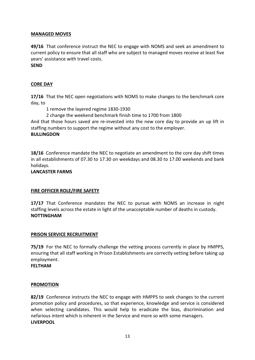# **MANAGED MOVES**

**49/16** That conference instruct the NEC to engage with NOMS and seek an amendment to current policy to ensure that all staff who are subject to managed moves receive at least five years' assistance with travel costs.

# **SEND**

# **CORE DAY**

**17/16** That the NEC open negotiations with NOMS to make changes to the benchmark core day, to

1 remove the layered regime 1830-1930

2 change the weekend benchmark finish time to 1700 from 1800

And that those hours saved are re-invested into the new core day to provide an up lift in staffing numbers to support the regime without any cost to the employer.

# **BULLINGDON**

**18/16** Conference mandate the NEC to negotiate an amendment to the core day shift times in all establishments of 07.30 to 17.30 on weekdays and 08.30 to 17.00 weekends and bank holidays.

#### **LANCASTER FARMS**

# **FIRE OFFICER ROLE/FIRE SAFETY**

**17/17** That Conference mandates the NEC to pursue with NOMS an increase in night staffing levels across the estate in light of the unacceptable number of deaths in custody. **NOTTINGHAM**

# **PRISON SERVICE RECRUITMENT**

**75/19** For the NEC to formally challenge the vetting process currently in place by HMPPS, ensuring that all staff working in Prison Establishments are correctly vetting before taking up employment.

**FELTHAM** 

#### **PROMOTION**

**82/19** Conference instructs the NEC to engage with HMPPS to seek changes to the current promotion policy and procedures, so that experience, knowledge and service is considered when selecting candidates. This would help to eradicate the bias, discrimination and nefarious intent which is inherent in the Service and more so with some managers. **LIVERPOOL**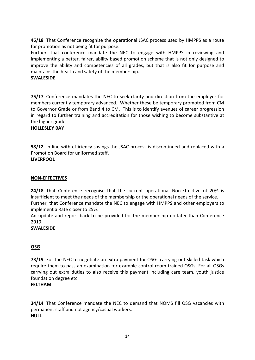**46/18** That Conference recognise the operational JSAC process used by HMPPS as a route for promotion as not being fit for purpose.

Further, that conference mandate the NEC to engage with HMPPS in reviewing and implementing a better, fairer, ability based promotion scheme that is not only designed to improve the ability and competencies of all grades, but that is also fit for purpose and maintains the health and safety of the membership.

# **SWALESIDE**

**75/17** Conference mandates the NEC to seek clarity and direction from the employer for members currently temporary advanced. Whether these be temporary promoted from CM to Governor Grade or from Band 4 to CM. This is to identify avenues of career progression in regard to further training and accreditation for those wishing to become substantive at the higher grade.

# **HOLLESLEY BAY**

**58/12** In line with efficiency savings the JSAC process is discontinued and replaced with a Promotion Board for uniformed staff. **LIVERPOOL**

# **NON-EFFECTIVES**

**24/18** That Conference recognise that the current operational Non-Effective of 20% is insufficient to meet the needs of the membership or the operational needs of the service. Further, that Conference mandate the NEC to engage with HMPPS and other employers to implement a Rate closer to 25%.

An update and report back to be provided for the membership no later than Conference 2019.

# **SWALESIDE**

# **OSG**

**73/19** For the NEC to negotiate an extra payment for OSGs carrying out skilled task which require them to pass an examination for example control room trained OSGs. For all OSGs carrying out extra duties to also receive this payment including care team, youth justice foundation degree etc.

# **FELTHAM**

**34/14** That Conference mandate the NEC to demand that NOMS fill OSG vacancies with permanent staff and not agency/casual workers. **HULL**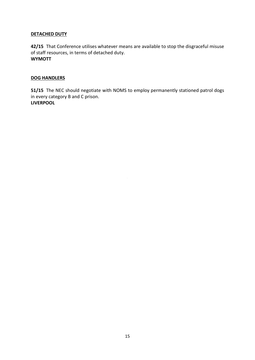# **DETACHED DUTY**

**42/15** That Conference utilises whatever means are available to stop the disgraceful misuse of staff resources, in terms of detached duty. **WYMOTT**

# **DOG HANDLERS**

**51/15** The NEC should negotiate with NOMS to employ permanently stationed patrol dogs in every category B and C prison. **LIVERPOOL**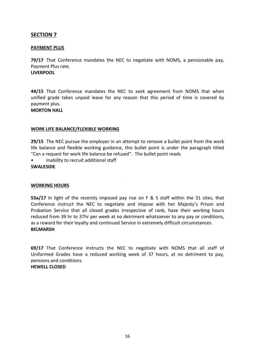# **PAYMENT PLUS**

**79/17** That Conference mandates the NEC to negotiate with NOMS, a pensionable pay, Payment Plus rate. **LIVERPOOL**

**44/15** That Conference mandates the NEC to seek agreement from NOMS that when unified grade takes unpaid leave for any reason that this period of time is covered by payment plus.

# **MORTON HALL**

# **WORK LIFE BALANCE/FLEXIBLE WORKING**

**29/15** The NEC pursue the employer in an attempt to remove a bullet point from the work life balance and flexible working guidance, this bullet point is under the paragraph titled "Can a request for work life balance be refused". The bullet point reads

• Inability to recruit additional staff

#### **SWALESIDE**

# **WORKING HOURS**

**53a/17** In light of the recently imposed pay rise on F & S staff within the 31 sites, that Conference instruct the NEC to negotiate and impose with her Majesty's Prison and Probation Service that all closed grades irrespective of rank, have their working hours reduced from 39 hr to 37hr per week at no detriment whatsoever to any pay or conditions, as a reward for their loyalty and continued Service in extremely difficult circumstances. **BELMARSH**

**69/17** That Conference instructs the NEC to negotiate with NOMS that all staff of Uniformed Grades have a reduced working week of 37 hours, at no detriment to pay, pensions and conditions.

# **HEWELL CLOSED**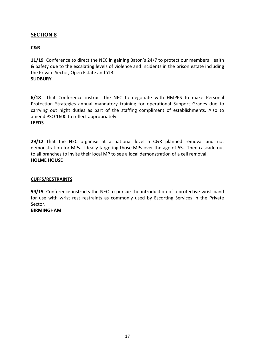# **C&R**

**11/19** Conference to direct the NEC in gaining Baton's 24/7 to protect our members Health & Safety due to the escalating levels of violence and incidents in the prison estate including the Private Sector, Open Estate and YJB. **SUDBURY** 

**6/18** That Conference instruct the NEC to negotiate with HMPPS to make Personal Protection Strategies annual mandatory training for operational Support Grades due to carrying out night duties as part of the staffing compliment of establishments. Also to amend PSO 1600 to reflect appropriately.

# **LEEDS**

**29/12** That the NEC organise at a national level a C&R planned removal and riot demonstration for MPs. Ideally targeting those MPs over the age of 65. Then cascade out to all branches to invite their local MP to see a local demonstration of a cell removal. **HOLME HOUSE**

#### **CUFFS/RESTRAINTS**

**59/15** Conference instructs the NEC to pursue the introduction of a protective wrist band for use with wrist rest restraints as commonly used by Escorting Services in the Private Sector.

# **BIRMINGHAM**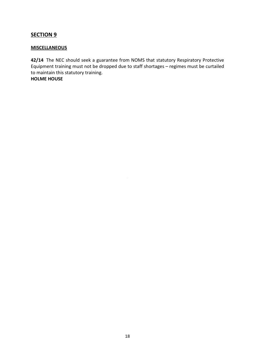# **MISCELLANEOUS**

**42/14** The NEC should seek a guarantee from NOMS that statutory Respiratory Protective Equipment training must not be dropped due to staff shortages – regimes must be curtailed to maintain this statutory training. **HOLME HOUSE**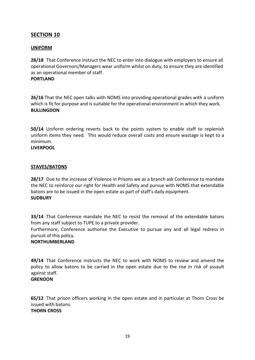# **UNIFORM**

**28/18** That Conference instruct the NEC to enter into dialogue with employers to ensure all operational Governors/Managers wear uniform whilst on duty, to ensure they are identified as an operational member of staff. **PORTLAND**

**26/16** That the NEC open talks with NOMS into providing operational grades with a uniform which is fit for purpose and is suitable for the operational environment in which they work. **BULLINGDON**

**50/14** Uniform ordering reverts back to the points system to enable staff to replenish uniform items they need. This would reduce overall costs and ensure wastage is kept to a minimum. **LIVERPOOL**

# **STAVES/BATONS**

28/17 Due to the increase of Violence in Prisons we as a branch ask Conference to mandate the NEC to reinforce our right for Health and Safety and pursue with NOMS that extendable batons are to be issued in the open estate as part of staff's daily equipment. **SUDBURY**

**33/14** That Conference mandate the NEC to resist the removal of the extendable batons from any staff subject to TUPE to a private provider.

Furthermore, Conference authorise the Executive to pursue any and all legal redress in pursuit of this policy.

# **NORTHUMBERLAND**

**49/14** That Conference instructs the NEC to work with NOMS to review and amend the policy to allow batons to be carried in the open estate due to the rise in risk of assault against staff.

# **GRENDON**

**65/12** That prison officers working in the open estate and in particular at Thorn Cross be issued with batons. **THORN CROSS**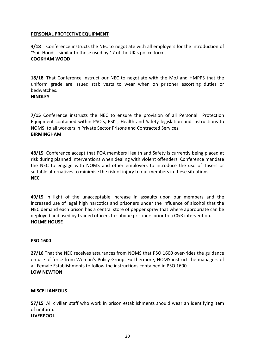# **PERSONAL PROTECTIVE EQUIPMENT**

**4/18** Conference instructs the NEC to negotiate with all employers for the introduction of "Spit Hoods" similar to those used by 17 of the UK's police forces. **COOKHAM WOOD**

**18/18** That Conference instruct our NEC to negotiate with the MoJ and HMPPS that the uniform grade are issued stab vests to wear when on prisoner escorting duties or bedwatches.

# **HINDLEY**

**7/15** Conference instructs the NEC to ensure the provision of all Personal Protection Equipment contained within PSO's, PSI's, Health and Safety legislation and instructions to NOMS, to all workers in Private Sector Prisons and Contracted Services. **BIRMINGHAM**

**48/15** Conference accept that POA members Health and Safety is currently being placed at risk during planned interventions when dealing with violent offenders. Conference mandate the NEC to engage with NOMS and other employers to introduce the use of Tasers or suitable alternatives to minimise the risk of injury to our members in these situations. **NEC**

**49/15** In light of the unacceptable increase in assaults upon our members and the increased use of legal high narcotics and prisoners under the influence of alcohol that the NEC demand each prison has a central store of pepper spray that where appropriate can be deployed and used by trained officers to subdue prisoners prior to a C&R intervention. **HOLME HOUSE**

# **PSO 1600**

**27/16** That the NEC receives assurances from NOMS that PSO 1600 over-rides the guidance on use of force from Woman's Policy Group. Furthermore, NOMS instruct the managers of all Female Establishments to follow the instructions contained in PSO 1600. **LOW NEWTON**

# **MISCELLANEOUS**

**57/15** All civilian staff who work in prison establishments should wear an identifying item of uniform. **LIVERPOOL**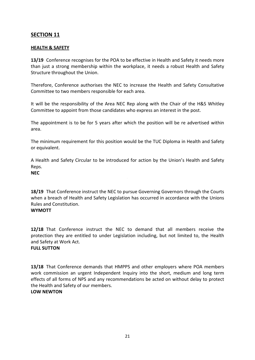# **HEALTH & SAFETY**

**13/19** Conference recognises for the POA to be effective in Health and Safety it needs more than just a strong membership within the workplace, it needs a robust Health and Safety Structure throughout the Union.

Therefore, Conference authorises the NEC to increase the Health and Safety Consultative Committee to two members responsible for each area.

It will be the responsibility of the Area NEC Rep along with the Chair of the H&S Whitley Committee to appoint from those candidates who express an interest in the post.

The appointment is to be for 5 years after which the position will be re advertised within area.

The minimum requirement for this position would be the TUC Diploma in Health and Safety or equivalent.

A Health and Safety Circular to be introduced for action by the Union's Health and Safety Reps.

#### **NEC**

**18/19** That Conference instruct the NEC to pursue Governing Governors through the Courts when a breach of Health and Safety Legislation has occurred in accordance with the Unions Rules and Constitution.

# **WYMOTT**

**12/18** That Conference instruct the NEC to demand that all members receive the protection they are entitled to under Legislation including, but not limited to, the Health and Safety at Work Act.

# **FULL SUTTON**

**13/18** That Conference demands that HMPPS and other employers where POA members work commission an urgent Independent Inquiry into the short, medium and long term effects of all forms of NPS and any recommendations be acted on without delay to protect the Health and Safety of our members. **LOW NEWTON**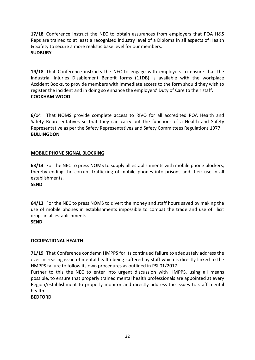**17/18** Conference instruct the NEC to obtain assurances from employers that POA H&S Reps are trained to at least a recognised industry level of a Diploma in all aspects of Health & Safety to secure a more realistic base level for our members. **SUDBURY**

**19/18** That Conference instructs the NEC to engage with employers to ensure that the Industrial Injuries Disablement Benefit forms (11DB) is available with the workplace Accident Books, to provide members with immediate access to the form should they wish to register the incident and in doing so enhance the employers' Duty of Care to their staff. **COOKHAM WOOD**

**6/14** That NOMS provide complete access to RIVO for all accredited POA Health and Safety Representatives so that they can carry out the functions of a Health and Safety Representative as per the Safety Representatives and Safety Committees Regulations 1977. **BULLINGDON**

# **MOBILE PHONE SIGNAL BLOCKING**

**63/13** For the NEC to press NOMS to supply all establishments with mobile phone blockers, thereby ending the corrupt trafficking of mobile phones into prisons and their use in all establishments.

**SEND**

**64/13** For the NEC to press NOMS to divert the money and staff hours saved by making the use of mobile phones in establishments impossible to combat the trade and use of illicit drugs in all establishments. **SEND** 

# **OCCUPATIONAL HEALTH**

**71/19** That Conference condemn HMPPS for its continued failure to adequately address the ever increasing issue of mental health being suffered by staff which is directly linked to the HMPPS failure to follow its own procedures as outlined in PSI 01/2017.

Further to this the NEC to enter into urgent discussion with HMPPS, using all means possible, to ensure that properly trained mental health professionals are appointed at every Region/establishment to properly monitor and directly address the issues to staff mental health.

# **BEDFORD**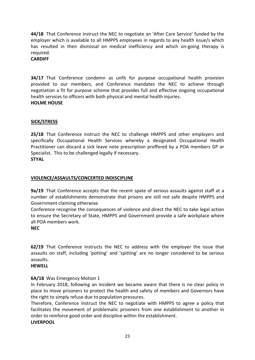**44/18** That Conference instruct the NEC to negotiate an 'After Care Service' funded by the employer which is available to all HMPPS employees in regards to any health issue/s which has resulted in their dismissal on medical inefficiency and which on-going therapy is required.

# **CARDIFF**

**34/17** That Conference condemn as unfit for purpose occupational health provision provided to our members, and Conference mandates the NEC to achieve through negotiation a fit for purpose scheme that provides full and effective ongoing occupational health services to officers with both physical and mental health injuries. **HOLME HOUSE** 

# **SICK/STRESS**

**25/18** That Conference instruct the NEC to challenge HMPPS and other employers and specifically Occupational Health Services whereby a designated Occupational Health Practitioner can discard a sick leave note prescription proffered by a POA members GP or Specialist. This to be challenged legally if necessary. **STYAL**

# <u>VIOLENCE/ASSAULTS/CONCERTED INDISCIPLINE</u>

**9a/19** That Conference accepts that the recent spate of serious assaults against staff at a number of establishments demonstrate that prisons are still not safe despite HMPPS and Government claiming otherwise.

Conference recognise the consequences of violence and direct the NEC to take legal action to ensure the Secretary of State, HMPPS and Government provide a safe workplace where all POA members work.

# **NEC**

**62/19** That Conference instructs the NEC to address with the employer the issue that assaults on staff, including 'potting' and 'spitting' are no longer considered to be serious assaults.

# **HEWELL**

# **6A/18** Was Emergency Motion 1

In February 2018, following an incident we became aware that there is no clear policy in place to move prisoners to protect the health and safety of members and Governors have the right to simply refuse due to population pressures.

Therefore, Conference instruct the NEC to negotiate with HMPPS to agree a policy that facilitates the movement of problematic prisoners from one establishment to another in order to reinforce good order and discipline within the establishment. **LIVERPOOL**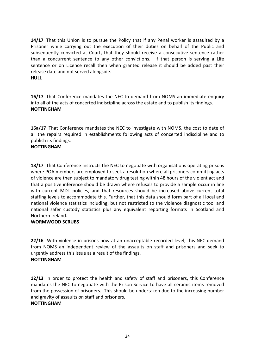**14/17** That this Union is to pursue the Policy that if any Penal worker is assaulted by a Prisoner while carrying out the execution of their duties on behalf of the Public and subsequently convicted at Court, that they should receive a consecutive sentence rather than a concurrent sentence to any other convictions. If that person is serving a Life sentence or on Licence recall then when granted release it should be added past their release date and not served alongside.

# **HULL**

**16/17** That Conference mandates the NEC to demand from NOMS an immediate enquiry into all of the acts of concerted indiscipline across the estate and to publish its findings. **NOTTINGHAM**

**16a/17** That Conference mandates the NEC to investigate with NOMS, the cost to date of all the repairs required in establishments following acts of concerted indiscipline and to publish its findings.

# **NOTTINGHAM**

of violence are then subject to mandatory drug testing within 48 hours of the violent act and **18/17** That Conference instructs the NEC to negotiate with organisations operating prisons where POA members are employed to seek a resolution where all prisoners committing acts that a positive inference should be drawn where refusals to provide a sample occur in line with current MDT policies, and that resources should be increased above current total staffing levels to accommodate this. Further, that this data should form part of all local and national violence statistics including, but not restricted to the violence diagnostic tool and national safer custody statistics plus any equivalent reporting formats in Scotland and Northern Ireland.

# **WORMWOOD SCRUBS**

**22/16** With violence in prisons now at an unacceptable recorded level, this NEC demand from NOMS an independent review of the assaults on staff and prisoners and seek to urgently address this issue as a result of the findings. **NOTTINGHAM**

**12/13** In order to protect the health and safety of staff and prisoners, this Conference mandates the NEC to negotiate with the Prison Service to have all ceramic items removed from the possession of prisoners. This should be undertaken due to the increasing number and gravity of assaults on staff and prisoners.

# **NOTTINGHAM**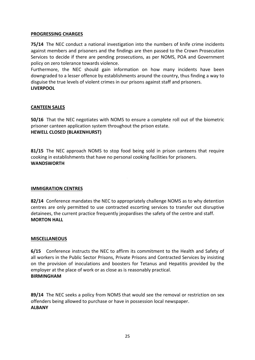# **PROGRESSING CHARGES**

**75/14** The NEC conduct a national investigation into the numbers of knife crime incidents against members and prisoners and the findings are then passed to the Crown Prosecution Services to decide if there are pending prosecutions, as per NOMS, POA and Government policy on zero tolerance towards violence.

Furthermore, the NEC should gain information on how many incidents have been downgraded to a lesser offence by establishments around the country, thus finding a way to disguise the true levels of violent crimes in our prisons against staff and prisoners. **LIVERPOOL**

# **CANTEEN SALES**

**50/16** That the NEC negotiates with NOMS to ensure a complete roll out of the biometric prisoner canteen application system throughout the prison estate. **HEWELL CLOSED (BLAKENHURST)**

**81/15** The NEC approach NOMS to stop food being sold in prison canteens that require cooking in establishments that have no personal cooking facilities for prisoners. **WANDSWORTH**

# **IMMIGRATION CENTRES**

**82/14** Conference mandates the NEC to appropriately challenge NOMS as to why detention centres are only permitted to use contracted escorting services to transfer out disruptive detainees, the current practice frequently jeopardises the safety of the centre and staff. **MORTON HALL**

# **MISCELLANEOUS**

**6/15** Conference instructs the NEC to affirm its commitment to the Health and Safety of all workers in the Public Sector Prisons, Private Prisons and Contracted Services by insisting on the provision of inoculations and boosters for Tetanus and Hepatitis provided by the employer at the place of work or as close as is reasonably practical. **BIRMINGHAM**

**89/14** The NEC seeks a policy from NOMS that would see the removal or restriction on sex offenders being allowed to purchase or have in possession local newspaper. **ALBANY**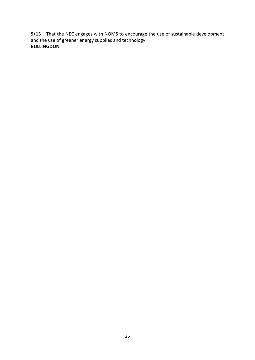**9/13** That the NEC engages with NOMS to encourage the use of sustainable development and the use of greener energy supplies and technology. **BULLINGDON**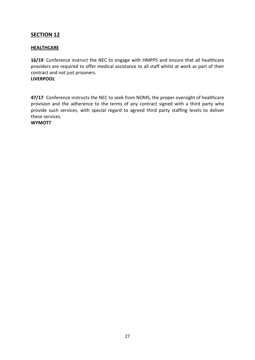# **HEALTHCARE**

**16/19** Conference instruct the NEC to engage with HMPPS and ensure that all healthcare providers are required to offer medical assistance to all staff whilst at work as part of their contract and not just prisoners. **LIVERPOOL** 

**47/17** Conference instructs the NEC to seek from NOMS, the proper oversight of healthcare provision and the adherence to the terms of any contract signed with a third party who provide such services, with special regard to agreed third party staffing levels to deliver these services.

**WYMOTT**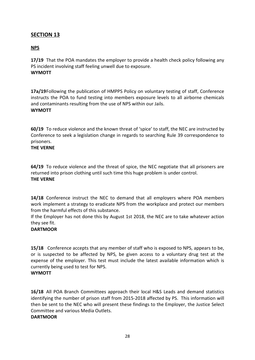# **NPS**

**17/19** That the POA mandates the employer to provide a health check policy following any PS incident involving staff feeling unwell due to exposure. **WYMOTT** 

**17a/19**Following the publication of HMPPS Policy on voluntary testing of staff, Conference instructs the POA to fund testing into members exposure levels to all airborne chemicals and contaminants resulting from the use of NPS within our Jails. **WYMOTT**

**60/19** To reduce violence and the known threat of 'spice' to staff, the NEC are instructed by Conference to seek a legislation change in regards to searching Rule 39 correspondence to prisoners.

# **THE VERNE**

**64/19** To reduce violence and the threat of spice, the NEC negotiate that all prisoners are returned into prison clothing until such time this huge problem is under control. **THE VERNE**

**14/18** Conference instruct the NEC to demand that all employers where POA members work implement a strategy to eradicate NPS from the workplace and protect our members from the harmful effects of this substance.

If the Employer has not done this by August 1st 2018, the NEC are to take whatever action they see fit.

# **DARTMOOR**

**15/18** Conference accepts that any member of staff who is exposed to NPS, appears to be, or is suspected to be affected by NPS, be given access to a voluntary drug test at the expense of the employer. This test must include the latest available information which is currently being used to test for NPS.

# **WYMOTT**

**16/18** All POA Branch Committees approach their local H&S Leads and demand statistics identifying the number of prison staff from 2015-2018 affected by PS. This information will then be sent to the NEC who will present these findings to the Employer, the Justice Select Committee and various Media Outlets.

# **DARTMOOR**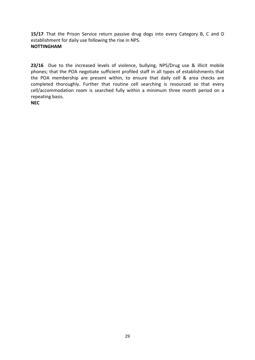15/17 That the Prison Service return passive drug dogs into every Category B, C and D establishment for daily use following the rise in NPS. **NOTTINGHAM**

**23/16** Due to the increased levels of violence, bullying, NPS/Drug use & illicit mobile phones; that the POA negotiate sufficient profiled staff in all types of establishments that the POA membership are present within, to ensure that daily cell & area checks are completed thoroughly. Further that routine cell searching is resourced so that every cell/accommodation room is searched fully within a minimum three month period on a repeating basis.

**NEC**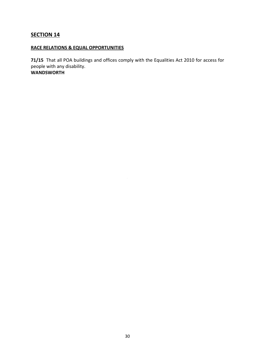# **RACE RELATIONS & EQUAL OPPORTUNITIES**

**71/15** That all POA buildings and offices comply with the Equalities Act 2010 for access for people with any disability. **WANDSWORTH**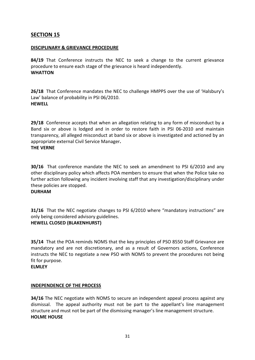# **DISCIPLINARY & GRIEVANCE PROCEDURE**

**84/19** That Conference instructs the NEC to seek a change to the current grievance procedure to ensure each stage of the grievance is heard independently. **WHATTON**

**26/18** That Conference mandates the NEC to challenge HMPPS over the use of 'Halsbury's Law' balance of probability in PSI 06/2010. **HEWELL**

**29/18** Conference accepts that when an allegation relating to any form of misconduct by a Band six or above is lodged and in order to restore faith in PSI 06-2010 and maintain transparency, all alleged misconduct at band six or above is investigated and actioned by an appropriate external Civil Service Manager**. THE VERNE**

further action following any incident involving staff that any investigation/disciplinary under **30/16** That conference mandate the NEC to seek an amendment to PSI 6/2010 and any other disciplinary policy which affects POA members to ensure that when the Police take no these policies are stopped.

# **DURHAM**

**31/16** That the NEC negotiate changes to PSI 6/2010 where "mandatory instructions" are only being considered advisory guidelines. **HEWELL CLOSED (BLAKENHURST)**

**35/14** That the POA reminds NOMS that the key principles of PSO 8550 Staff Grievance are mandatory and are not discretionary, and as a result of Governors actions, Conference instructs the NEC to negotiate a new PSO with NOMS to prevent the procedures not being fit for purpose.

**ELMLEY**

# **INDEPENDENCE OF THE PROCESS**

**34/16** The NEC negotiate with NOMS to secure an independent appeal process against any dismissal. The appeal authority must not be part to the appellant's line management structure and must not be part of the dismissing manager's line management structure. **HOLME HOUSE**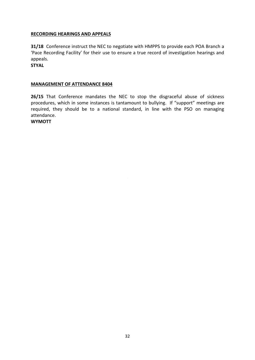# **RECORDING HEARINGS AND APPEALS**

**31/18** Conference instruct the NEC to negotiate with HMPPS to provide each POA Branch a 'Pace Recording Facility' for their use to ensure a true record of investigation hearings and appeals.

**STYAL**

# **MANAGEMENT OF ATTENDANCE 8404**

**26/15** That Conference mandates the NEC to stop the disgraceful abuse of sickness procedures, which in some instances is tantamount to bullying. If "support" meetings are required, they should be to a national standard, in line with the PSO on managing attendance.

**WYMOTT**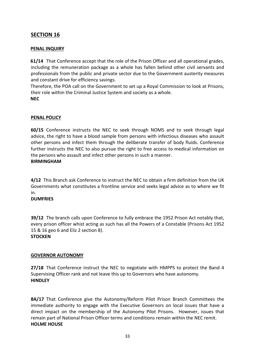# **PENAL INQUIRY**

**61/14** That Conference accept that the role of the Prison Officer and all operational grades, including the remuneration package as a whole has fallen behind other civil servants and professionals from the public and private sector due to the Government austerity measures and constant drive for efficiency savings.

Therefore, the POA call on the Government to set up a Royal Commission to look at Prisons, their role within the Criminal Justice System and society as a whole. **NEC**

# **PENAL POLICY**

**60/15** Conference instructs the NEC to seek through NOMS and to seek through legal advice, the right to have a blood sample from persons with infectious diseases who assault other persons and infect them through the deliberate transfer of body fluids. Conference further instructs the NEC to also pursue the right to free access to medical information on the persons who assault and infect other persons in such a manner.

# **BIRMINGHAM**

4/12 This Branch ask Conference to instruct the NEC to obtain a firm definition from the UK Governments what constitutes a frontline service and seeks legal advice as to where we fit in.

# **DUMFRIES**

**39/12** The branch calls upon Conference to fully embrace the 1952 Prison Act notably that, every prison officer whist acting as such has all the Powers of a Constable (Prisons Act 1952 15 & 16 geo 6 and Eliz 2 section 8).

# **STOCKEN**

# **GOVERNOR AUTONOMY**

**27/18** That Conference instruct the NEC to negotiate with HMPPS to protect the Band 4 Supervising Officer rank and not leave this up to Governors who have autonomy. **HINDLEY**

**8A/17** That Conference give the Autonomy/Reform Pilot Prison Branch Committees the immediate authority to engage with the Executive Governors on local issues that have a direct impact on the membership of the Autonomy Pilot Prisons. However, issues that remain part of National Prison Officer terms and conditions remain within the NEC remit. **HOLME HOUSE**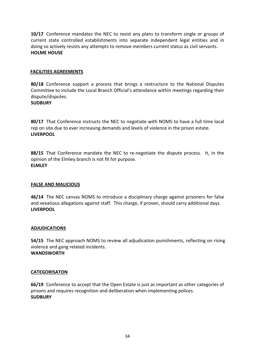**10/17** Conference mandates the NEC to resist any plans to transform single or groups of current state controlled establishments into separate independent legal entities and in doing so actively resists any attempts to remove members current status as civil servants. **HOLME HOUSE** 

# **FACILITIES AGREEMENTS**

**80/18** Conference support a process that brings a restructure to the National Disputes Committee to include the Local Branch Official's attendance within meetings regarding their dispute/disputes. **SUDBURY**

**80/17** That Conference instructs the NEC to negotiate with NOMS to have a full time local rep on site due to ever increasing demands and levels of violence in the prison estate. **LIVERPOOL**

**88/15** That Conference mandate the NEC to re-negotiate the dispute process. It, in the opinion of the Elmley branch is not fit for purpose. **ELMLEY**

# **FALSE AND MALICIOUS**

**46/14** The NEC canvas NOMS to introduce a disciplinary charge against prisoners for false and vexatious allegations against staff. This charge, if proven, should carry additional days. **LIVERPOOL**

# **ADJUDICATIONS**

**54/15** The NEC approach NOMS to review all adjudication punishments, reflecting on rising violence and gang related incidents. **WANDSWORTH**

# **CATEGORISATON**

**66/19** Conference to accept that the Open Estate is just as important as other categories of prisons and requires recognition and deliberation when implementing polices. **SUDBURY**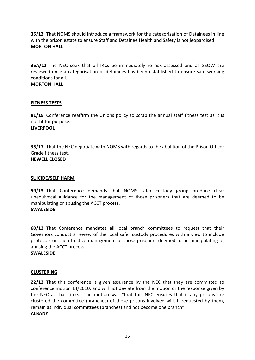**35/12** That NOMS should introduce a framework for the categorisation of Detainees in line with the prison estate to ensure Staff and Detainee Health and Safety is not jeopardised. **MORTON HALL**

**35A/12** The NEC seek that all IRCs be immediately re risk assessed and all SSOW are reviewed once a categorisation of detainees has been established to ensure safe working conditions for all.

### **MORTON HALL**

# **FITNESS TESTS**

**81/19** Conference reaffirm the Unions policy to scrap the annual staff fitness test as it is not fit for purpose. **LIVERPOOL**

**35/17** That the NEC negotiate with NOMS with regards to the abolition of the Prison Officer Grade fitness test. **HEWELL CLOSED**

# **SUICIDE/SELF HARM**

**59/13** That Conference demands that NOMS safer custody group produce clear unequivocal guidance for the management of those prisoners that are deemed to be manipulating or abusing the ACCT process. **SWALESIDE**

**60/13** That Conference mandates all local branch committees to request that their Governors conduct a review of the local safer custody procedures with a view to include protocols on the effective management of those prisoners deemed to be manipulating or abusing the ACCT process.

# **SWALESIDE**

# **CLUSTERING**

**22/13** That this conference is given assurance by the NEC that they are committed to conference motion 14/2010, and will not deviate from the motion or the response given by the NEC at that time. The motion was "that this NEC ensures that if any prisons are clustered the committee (branches) of those prisons involved will, if requested by them, remain as individual committees (branches) and not become one branch". **ALBANY**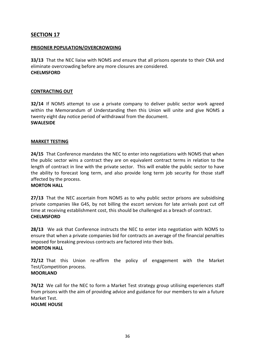# **PRISONER POPULATION/OVERCROWDING**

**33/13** That the NEC liaise with NOMS and ensure that all prisons operate to their CNA and eliminate overcrowding before any more closures are considered. **CHELMSFORD** 

# **CONTRACTING OUT**

**32/14** If NOMS attempt to use a private company to deliver public sector work agreed within the Memorandum of Understanding then this Union will unite and give NOMS a twenty eight day notice period of withdrawal from the document. **SWALESIDE**

# **MARKET TESTING**

**24/15** That Conference mandates the NEC to enter into negotiations with NOMS that when the public sector wins a contract they are on equivalent contract terms in relation to the length of contract in line with the private sector. This will enable the public sector to have the ability to forecast long term, and also provide long term job security for those staff affected by the process.

# **MORTON HALL**

**27/13** That the NEC ascertain from NOMS as to why public sector prisons are subsidising private companies like G4S, by not billing the escort services for late arrivals post cut off time at receiving establishment cost, this should be challenged as a breach of contract. **CHELMSFORD** 

**28/13** We ask that Conference instructs the NEC to enter into negotiation with NOMS to ensure that when a private companies bid for contracts an average of the financial penalties imposed for breaking previous contracts are factored into their bids. **MORTON HALL**

**72/12** That this Union re-affirm the policy of engagement with the Market Test/Competition process.

# **MOORLAND**

**74/12** We call for the NEC to form a Market Test strategy group utilising experiences staff from prisons with the aim of providing advice and guidance for our members to win a future Market Test.

# **HOLME HOUSE**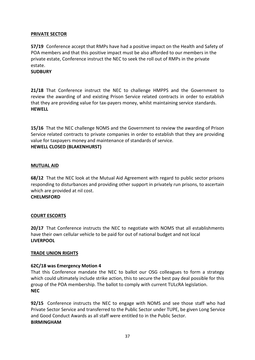# **PRIVATE SECTOR**

**57/19** Conference accept that RMPs have had a positive impact on the Health and Safety of POA members and that this positive impact must be also afforded to our members in the private estate, Conference instruct the NEC to seek the roll out of RMPs in the private estate.

# **SUDBURY**

**21/18** That Conference instruct the NEC to challenge HMPPS and the Government to review the awarding of and existing Prison Service related contracts in order to establish that they are providing value for tax-payers money, whilst maintaining service standards. **HEWELL**

**15/16** That the NEC challenge NOMS and the Government to review the awarding of Prison Service related contracts to private companies in order to establish that they are providing value for taxpayers money and maintenance of standards of service. **HEWELL CLOSED (BLAKENHURST)**

# **MUTUAL AID**

68/12 That the NEC look at the Mutual Aid Agreement with regard to public sector prisons responding to disturbances and providing other support in privately run prisons, to ascertain which are provided at nil cost.

# **CHELMSFORD**

# **COURT ESCORTS**

**20/17** That Conference instructs the NEC to negotiate with NOMS that all establishments have their own cellular vehicle to be paid for out of national budget and not local **LIVERPOOL**

# **TRADE UNION RIGHTS**

# **62C/18 was Emergency Motion 4**

That this Conference mandate the NEC to ballot our OSG colleagues to form a strategy which could ultimately include strike action, this to secure the best pay deal possible for this group of the POA membership. The ballot to comply with current TULcRA legislation. **NEC**

**92/15** Conference instructs the NEC to engage with NOMS and see those staff who had Private Sector Service and transferred to the Public Sector under TUPE, be given Long Service and Good Conduct Awards as all staff were entitled to in the Public Sector. **BIRMINGHAM**